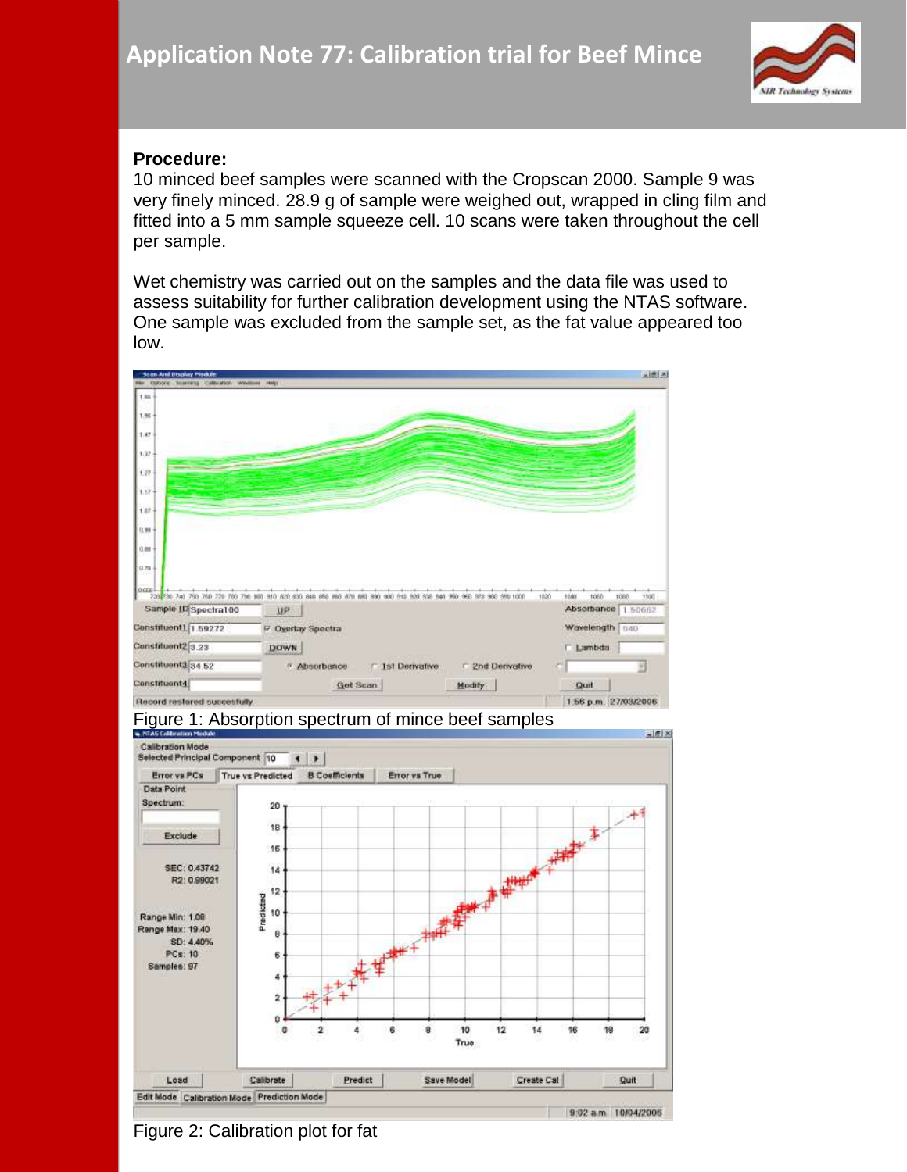

## **Procedure:**

10 minced beef samples were scanned with the Cropscan 2000. Sample 9 was very finely minced. 28.9 g of sample were weighed out, wrapped in cling film and fitted into a 5 mm sample squeeze cell. 10 scans were taken throughout the cell per sample.

Wet chemistry was carried out on the samples and the data file was used to assess suitability for further calibration development using the NTAS software. One sample was excluded from the sample set, as the fat value appeared too low.







Figure 2: Calibration plot for fat